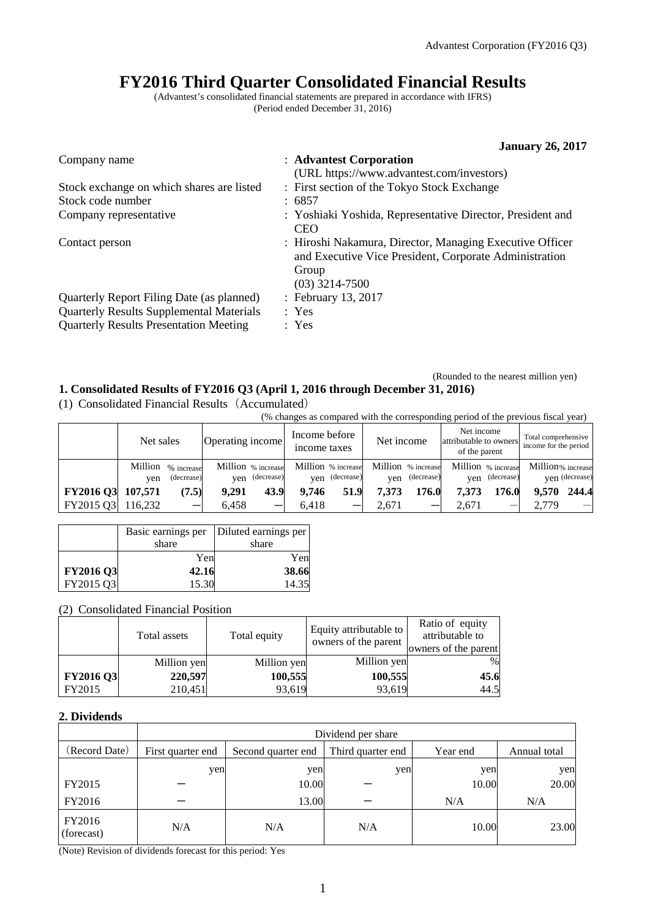# **FY2016 Third Quarter Consolidated Financial Results**

(Advantest's consolidated financial statements are prepared in accordance with IFRS) (Period ended December 31, 2016)

|                                                 | <b>January 26, 2017</b>                                                                                                                         |
|-------------------------------------------------|-------------------------------------------------------------------------------------------------------------------------------------------------|
| Company name                                    | : Advantest Corporation                                                                                                                         |
|                                                 | (URL https://www.advantest.com/investors)                                                                                                       |
| Stock exchange on which shares are listed       | : First section of the Tokyo Stock Exchange                                                                                                     |
| Stock code number                               | : 6857                                                                                                                                          |
| Company representative                          | : Yoshiaki Yoshida, Representative Director, President and<br><b>CEO</b>                                                                        |
| Contact person                                  | : Hiroshi Nakamura, Director, Managing Executive Officer<br>and Executive Vice President, Corporate Administration<br>Group<br>$(03)$ 3214-7500 |
| Quarterly Report Filing Date (as planned)       | : February 13, 2017                                                                                                                             |
| <b>Quarterly Results Supplemental Materials</b> | : Yes                                                                                                                                           |
| <b>Quarterly Results Presentation Meeting</b>   | : Yes                                                                                                                                           |

### (Rounded to the nearest million yen) **1. Consolidated Results of FY2016 Q3 (April 1, 2016 through December 31, 2016)**

(1) Consolidated Financial Results(Accumulated)

|                   | (% changes as compared with the corresponding period of the previous fiscal year) |            |                    |                |                               |                    |            |                    |                                                       |                |                                              |                                 |
|-------------------|-----------------------------------------------------------------------------------|------------|--------------------|----------------|-------------------------------|--------------------|------------|--------------------|-------------------------------------------------------|----------------|----------------------------------------------|---------------------------------|
|                   | Net sales                                                                         |            | Operating income   |                | Income before<br>income taxes |                    | Net income |                    | Net income<br>attributable to owners<br>of the parent |                | Total comprehensive<br>income for the period |                                 |
|                   | Million                                                                           | % increase | Million % increase |                |                               | Million % increase |            | Million % increase | Million % increase                                    |                | Million% increase                            |                                 |
|                   | ven                                                                               | (decrease) |                    | yen (decrease) | ven                           | (decrease)         | ven        | (decrease)         |                                                       | yen (decrease) |                                              | ven (decrease)                  |
| FY2016 Q3 107,571 |                                                                                   | (7.5)      | 9.291              | 43.9           | 9.746                         | 51.9               | 7.373      | 176.0              | 7.373                                                 | 176.0          | 9.570                                        | 244.4                           |
| FY2015 Q3         | 116.232                                                                           |            | 6.458              |                | 6.418                         |                    | 2.671      |                    | 2.671                                                 |                | 2.779                                        | $\hspace{0.1mm}-\hspace{0.1mm}$ |

|                  |       | Basic earnings per   Diluted earnings per |
|------------------|-------|-------------------------------------------|
|                  | share | share                                     |
|                  | Yen   | Yen                                       |
| <b>FY2016 Q3</b> | 42.16 | 38.66                                     |
| FY2015 Q3        | 15.30 | 14.35                                     |

## (2) Consolidated Financial Position

|                  | Total assets | Total equity | Equity attributable to<br>owners of the parent | Ratio of equity<br>attributable to<br>owners of the parent |
|------------------|--------------|--------------|------------------------------------------------|------------------------------------------------------------|
|                  | Million yen  | Million yen  | Million yen                                    | $\frac{0}{0}$                                              |
| <b>FY2016 Q3</b> | 220,597      | 100,555      | 100,555                                        | 45.6                                                       |
| FY2015           | 210,451      | 93,619       | 93,619                                         | 44.5                                                       |

## **2. Dividends**

|                      | Dividend per share |                    |                   |          |              |  |
|----------------------|--------------------|--------------------|-------------------|----------|--------------|--|
| (Record Date)        | First quarter end  | Second quarter end | Third quarter end | Year end | Annual total |  |
|                      | yen                | yen                | yen               | yen      | yen          |  |
| FY2015               |                    | 10.00              |                   | 10.00    | 20.00        |  |
| FY2016               |                    | 13.00              |                   | N/A      | N/A          |  |
| FY2016<br>(forecast) | N/A                | N/A                | N/A               | 10.00    | 23.00        |  |

(Note) Revision of dividends forecast for this period: Yes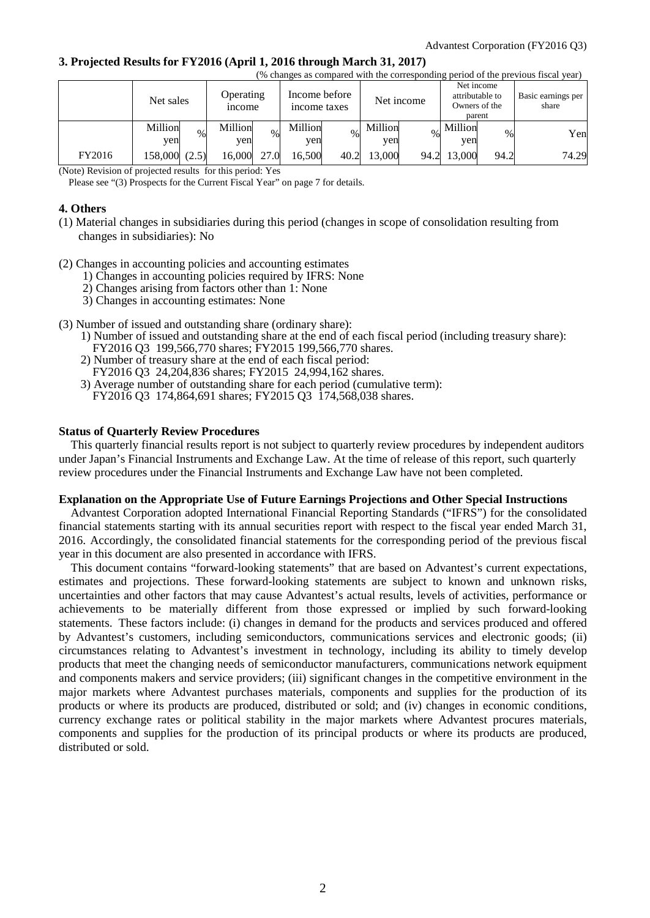#### **3. Projected Results for FY2016 (April 1, 2016 through March 31, 2017)**

|        | (% changes as compared with the corresponding period of the previous fiscal year) |                            |                                             |                |                                                          |       |                             |
|--------|-----------------------------------------------------------------------------------|----------------------------|---------------------------------------------|----------------|----------------------------------------------------------|-------|-----------------------------|
|        | Net sales                                                                         | Operating<br><i>n</i> come | Income before<br>Net income<br>income taxes |                | Net income<br>attributable to<br>Owners of the<br>parent |       | Basic earnings per<br>share |
|        | Million<br>$\%$<br>ven                                                            | Million<br>$\%$<br>ven     | Million<br>$\%$<br>yen                      | Million<br>yen | Million<br>$\%$<br>yen                                   | Yen   |                             |
| FY2016 | 158,000 (2.5)                                                                     | 16,000<br>27.0             | 16.500<br>40.2                              | 13.000<br>94.2 | 13,000<br>94.2                                           | 74.29 |                             |

(Note) Revision of projected results for this period: Yes

Please see "(3) Prospects for the Current Fiscal Year" on page 7 for details.

## **4. Others**

- (1) Material changes in subsidiaries during this period (changes in scope of consolidation resulting from changes in subsidiaries): No
- (2) Changes in accounting policies and accounting estimates
	- 1) Changes in accounting policies required by IFRS: None
	- 2) Changes arising from factors other than 1: None
	- 3) Changes in accounting estimates: None
- (3) Number of issued and outstanding share (ordinary share):
	- 1) Number of issued and outstanding share at the end of each fiscal period (including treasury share):
	- FY2016 Q3 199,566,770 shares; FY2015 199,566,770 shares.
	- 2) Number of treasury share at the end of each fiscal period:
	- FY2016 Q3 24,204,836 shares; FY2015 24,994,162 shares.
	- 3) Average number of outstanding share for each period (cumulative term): FY2016 Q3 174,864,691 shares; FY2015 Q3 174,568,038 shares.

#### **Status of Quarterly Review Procedures**

This quarterly financial results report is not subject to quarterly review procedures by independent auditors under Japan's Financial Instruments and Exchange Law. At the time of release of this report, such quarterly review procedures under the Financial Instruments and Exchange Law have not been completed.

#### **Explanation on the Appropriate Use of Future Earnings Projections and Other Special Instructions**

Advantest Corporation adopted International Financial Reporting Standards ("IFRS") for the consolidated financial statements starting with its annual securities report with respect to the fiscal year ended March 31, 2016. Accordingly, the consolidated financial statements for the corresponding period of the previous fiscal year in this document are also presented in accordance with IFRS.

This document contains "forward-looking statements" that are based on Advantest's current expectations, estimates and projections. These forward-looking statements are subject to known and unknown risks, uncertainties and other factors that may cause Advantest's actual results, levels of activities, performance or achievements to be materially different from those expressed or implied by such forward-looking statements. These factors include: (i) changes in demand for the products and services produced and offered by Advantest's customers, including semiconductors, communications services and electronic goods; (ii) circumstances relating to Advantest's investment in technology, including its ability to timely develop products that meet the changing needs of semiconductor manufacturers, communications network equipment and components makers and service providers; (iii) significant changes in the competitive environment in the major markets where Advantest purchases materials, components and supplies for the production of its products or where its products are produced, distributed or sold; and (iv) changes in economic conditions, currency exchange rates or political stability in the major markets where Advantest procures materials, components and supplies for the production of its principal products or where its products are produced, distributed or sold.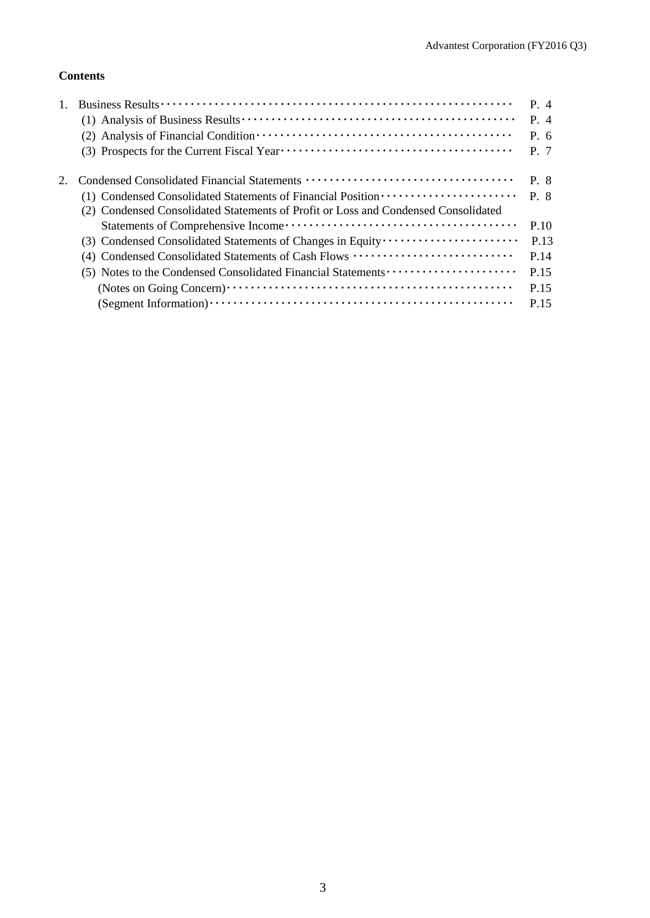## **Contents**

|                                                                                                                                                                         | P. 4<br>$P_4$<br>$P_{0}$ 6<br>P. 7 |
|-------------------------------------------------------------------------------------------------------------------------------------------------------------------------|------------------------------------|
| (1) Condensed Consolidated Statements of Financial Position ·····················<br>(2) Condensed Consolidated Statements of Profit or Loss and Condensed Consolidated | P. 8<br>$P \cdot 8$                |
|                                                                                                                                                                         | P.10                               |
| (3) Condensed Consolidated Statements of Changes in Equity                                                                                                              | P.13                               |
| (4) Condensed Consolidated Statements of Cash Flows                                                                                                                     | P.14                               |
|                                                                                                                                                                         | P.15                               |
|                                                                                                                                                                         | P 15                               |
|                                                                                                                                                                         | P.15                               |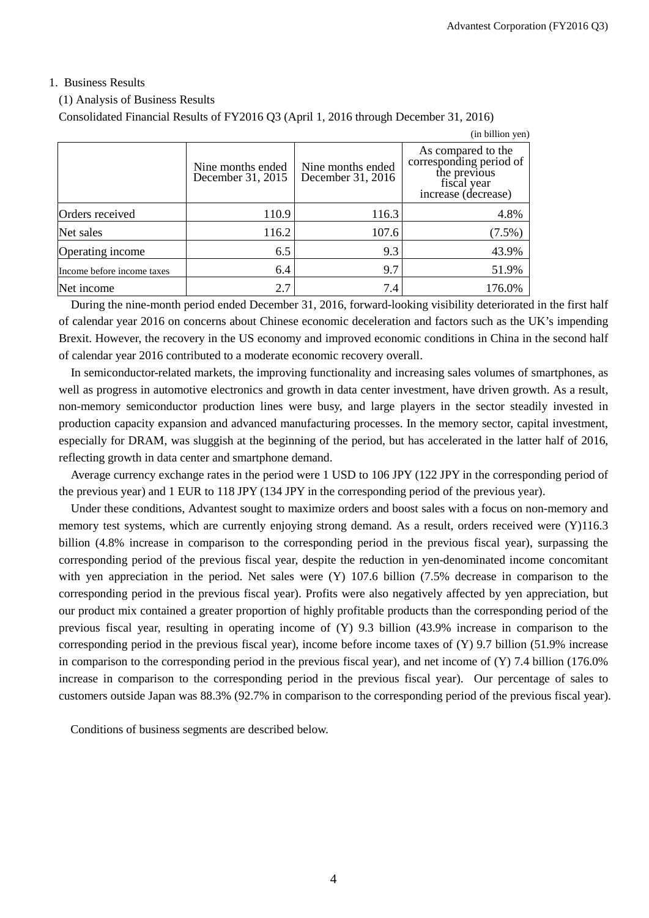## 1. Business Results

#### (1) Analysis of Business Results

Consolidated Financial Results of FY2016 Q3 (April 1, 2016 through December 31, 2016)

|                            |                                        |                                        | (in billion yen)                                                                                    |
|----------------------------|----------------------------------------|----------------------------------------|-----------------------------------------------------------------------------------------------------|
|                            | Nine months ended<br>December 31, 2015 | Nine months ended<br>December 31, 2016 | As compared to the<br>corresponding period of<br>the previous<br>fiscal year<br>increase (decrease) |
| Orders received            | 110.9                                  | 116.3                                  | 4.8%                                                                                                |
| Net sales                  | 116.2                                  | 107.6                                  | $(7.5\%)$                                                                                           |
| Operating income           | 6.5                                    | 9.3                                    | 43.9%                                                                                               |
| Income before income taxes | 6.4                                    | 9.7                                    | 51.9%                                                                                               |
| Net income                 | 2.7                                    | 7.4                                    | 176.0%                                                                                              |

During the nine-month period ended December 31, 2016, forward-looking visibility deteriorated in the first half of calendar year 2016 on concerns about Chinese economic deceleration and factors such as the UK's impending Brexit. However, the recovery in the US economy and improved economic conditions in China in the second half of calendar year 2016 contributed to a moderate economic recovery overall.

In semiconductor-related markets, the improving functionality and increasing sales volumes of smartphones, as well as progress in automotive electronics and growth in data center investment, have driven growth. As a result, non-memory semiconductor production lines were busy, and large players in the sector steadily invested in production capacity expansion and advanced manufacturing processes. In the memory sector, capital investment, especially for DRAM, was sluggish at the beginning of the period, but has accelerated in the latter half of 2016, reflecting growth in data center and smartphone demand.

Average currency exchange rates in the period were 1 USD to 106 JPY (122 JPY in the corresponding period of the previous year) and 1 EUR to 118 JPY (134 JPY in the corresponding period of the previous year).

Under these conditions, Advantest sought to maximize orders and boost sales with a focus on non-memory and memory test systems, which are currently enjoying strong demand. As a result, orders received were (Y)116.3 billion (4.8% increase in comparison to the corresponding period in the previous fiscal year), surpassing the corresponding period of the previous fiscal year, despite the reduction in yen-denominated income concomitant with yen appreciation in the period. Net sales were (Y) 107.6 billion (7.5% decrease in comparison to the corresponding period in the previous fiscal year). Profits were also negatively affected by yen appreciation, but our product mix contained a greater proportion of highly profitable products than the corresponding period of the previous fiscal year, resulting in operating income of (Y) 9.3 billion (43.9% increase in comparison to the corresponding period in the previous fiscal year), income before income taxes of  $(Y)$  9.7 billion (51.9% increase in comparison to the corresponding period in the previous fiscal year), and net income of (Y) 7.4 billion (176.0% increase in comparison to the corresponding period in the previous fiscal year). Our percentage of sales to customers outside Japan was 88.3% (92.7% in comparison to the corresponding period of the previous fiscal year).

Conditions of business segments are described below.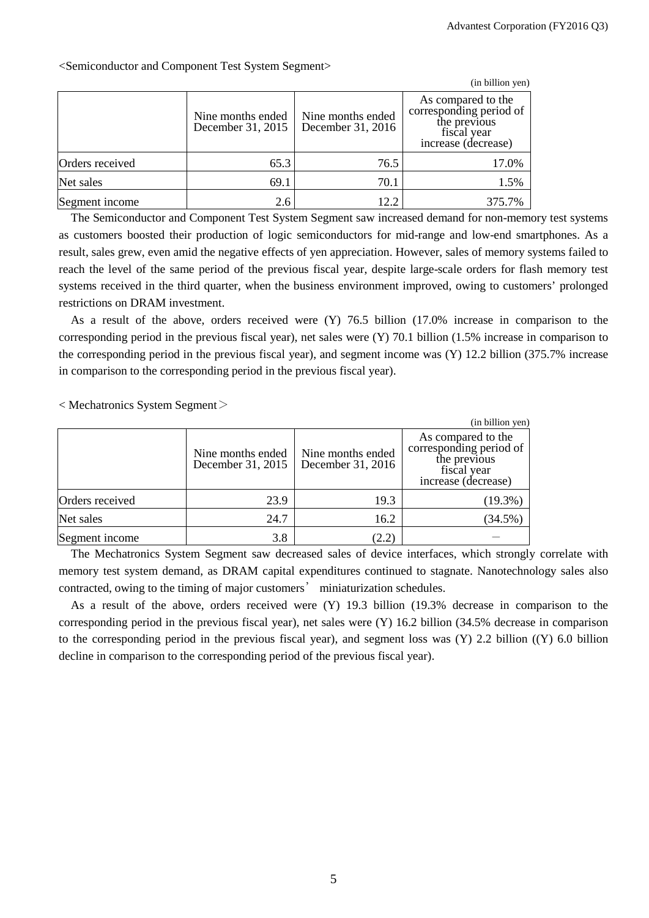|                 |                                        |                                        | (in billion yen)                                                                                    |
|-----------------|----------------------------------------|----------------------------------------|-----------------------------------------------------------------------------------------------------|
|                 | Nine months ended<br>December 31, 2015 | Nine months ended<br>December 31, 2016 | As compared to the<br>corresponding period of<br>the previous<br>fiscal year<br>increase (decrease) |
| Orders received | 65.3                                   | 76.5                                   | 17.0%                                                                                               |
| Net sales       | 69.1                                   | 70.1                                   | 1.5%                                                                                                |
| Segment income  | 2.6                                    | 12.2                                   | 375.7%                                                                                              |

<Semiconductor and Component Test System Segment>

The Semiconductor and Component Test System Segment saw increased demand for non-memory test systems as customers boosted their production of logic semiconductors for mid-range and low-end smartphones. As a result, sales grew, even amid the negative effects of yen appreciation. However, sales of memory systems failed to reach the level of the same period of the previous fiscal year, despite large-scale orders for flash memory test systems received in the third quarter, when the business environment improved, owing to customers' prolonged restrictions on DRAM investment.

As a result of the above, orders received were (Y) 76.5 billion (17.0% increase in comparison to the corresponding period in the previous fiscal year), net sales were (Y) 70.1 billion (1.5% increase in comparison to the corresponding period in the previous fiscal year), and segment income was (Y) 12.2 billion (375.7% increase in comparison to the corresponding period in the previous fiscal year).

< Mechatronics System Segment>

|                 |                                        |                                        | (in billion yen)                                                                                    |
|-----------------|----------------------------------------|----------------------------------------|-----------------------------------------------------------------------------------------------------|
|                 | Nine months ended<br>December 31, 2015 | Nine months ended<br>December 31, 2016 | As compared to the<br>corresponding period of<br>the previous<br>fiscal year<br>increase (decrease) |
| Orders received | 23.9                                   | 19.3                                   | $(19.3\%)$                                                                                          |
| Net sales       | 24.7                                   | 16.2                                   | $(34.5\%)$                                                                                          |
| Segment income  | 3.8                                    | 2.2)                                   |                                                                                                     |

The Mechatronics System Segment saw decreased sales of device interfaces, which strongly correlate with memory test system demand, as DRAM capital expenditures continued to stagnate. Nanotechnology sales also contracted, owing to the timing of major customers' miniaturization schedules.

As a result of the above, orders received were (Y) 19.3 billion (19.3% decrease in comparison to the corresponding period in the previous fiscal year), net sales were (Y) 16.2 billion (34.5% decrease in comparison to the corresponding period in the previous fiscal year), and segment loss was (Y) 2.2 billion ((Y) 6.0 billion decline in comparison to the corresponding period of the previous fiscal year).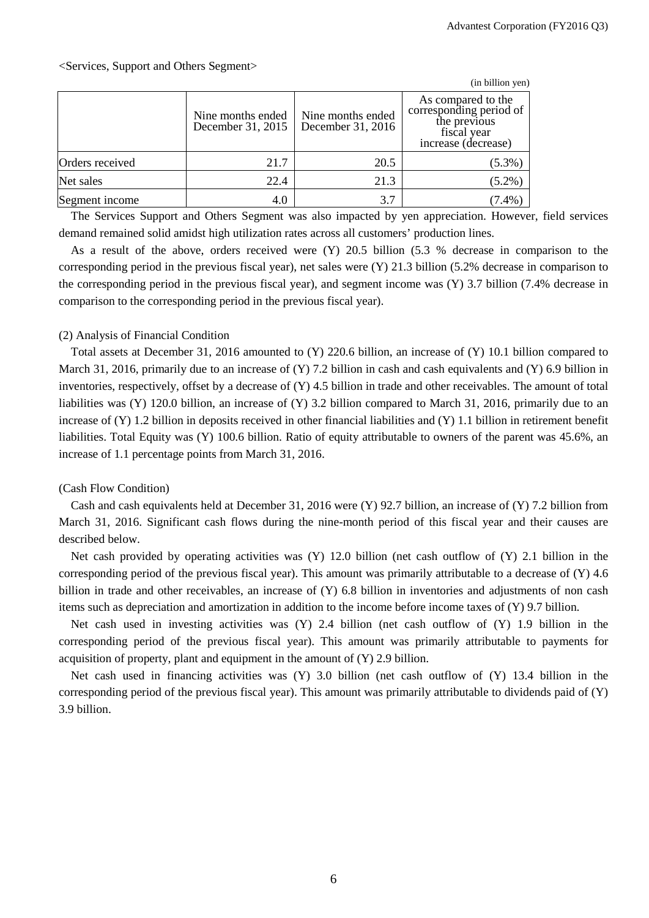|                 |                                        |                                        | (in billion yen)                                                                                    |
|-----------------|----------------------------------------|----------------------------------------|-----------------------------------------------------------------------------------------------------|
|                 | Nine months ended<br>December 31, 2015 | Nine months ended<br>December 31, 2016 | As compared to the<br>corresponding period of<br>the previous<br>fiscal year<br>increase (decrease) |
| Orders received | 21.7                                   | 20.5                                   | $(5.3\%)$                                                                                           |
| Net sales       | 22.4                                   | 21.3                                   | $(5.2\%)$                                                                                           |
| Segment income  | 4.0                                    | 3.7                                    | $(7.4\%$                                                                                            |

The Services Support and Others Segment was also impacted by yen appreciation. However, field services demand remained solid amidst high utilization rates across all customers' production lines.

As a result of the above, orders received were (Y) 20.5 billion (5.3 % decrease in comparison to the corresponding period in the previous fiscal year), net sales were (Y) 21.3 billion (5.2% decrease in comparison to the corresponding period in the previous fiscal year), and segment income was (Y) 3.7 billion (7.4% decrease in comparison to the corresponding period in the previous fiscal year).

### (2) Analysis of Financial Condition

Total assets at December 31, 2016 amounted to (Y) 220.6 billion, an increase of (Y) 10.1 billion compared to March 31, 2016, primarily due to an increase of  $(Y)$  7.2 billion in cash and cash equivalents and  $(Y)$  6.9 billion in inventories, respectively, offset by a decrease of (Y) 4.5 billion in trade and other receivables. The amount of total liabilities was (Y) 120.0 billion, an increase of (Y) 3.2 billion compared to March 31, 2016, primarily due to an increase of (Y) 1.2 billion in deposits received in other financial liabilities and (Y) 1.1 billion in retirement benefit liabilities. Total Equity was (Y) 100.6 billion. Ratio of equity attributable to owners of the parent was 45.6%, an increase of 1.1 percentage points from March 31, 2016.

## (Cash Flow Condition)

Cash and cash equivalents held at December 31, 2016 were (Y) 92.7 billion, an increase of (Y) 7.2 billion from March 31, 2016. Significant cash flows during the nine-month period of this fiscal year and their causes are described below.

Net cash provided by operating activities was  $(Y)$  12.0 billion (net cash outflow of  $(Y)$ ) 2.1 billion in the corresponding period of the previous fiscal year). This amount was primarily attributable to a decrease of (Y) 4.6 billion in trade and other receivables, an increase of (Y) 6.8 billion in inventories and adjustments of non cash items such as depreciation and amortization in addition to the income before income taxes of (Y) 9.7 billion.

Net cash used in investing activities was (Y) 2.4 billion (net cash outflow of (Y) 1.9 billion in the corresponding period of the previous fiscal year). This amount was primarily attributable to payments for acquisition of property, plant and equipment in the amount of (Y) 2.9 billion.

Net cash used in financing activities was (Y) 3.0 billion (net cash outflow of (Y) 13.4 billion in the corresponding period of the previous fiscal year). This amount was primarily attributable to dividends paid of (Y) 3.9 billion.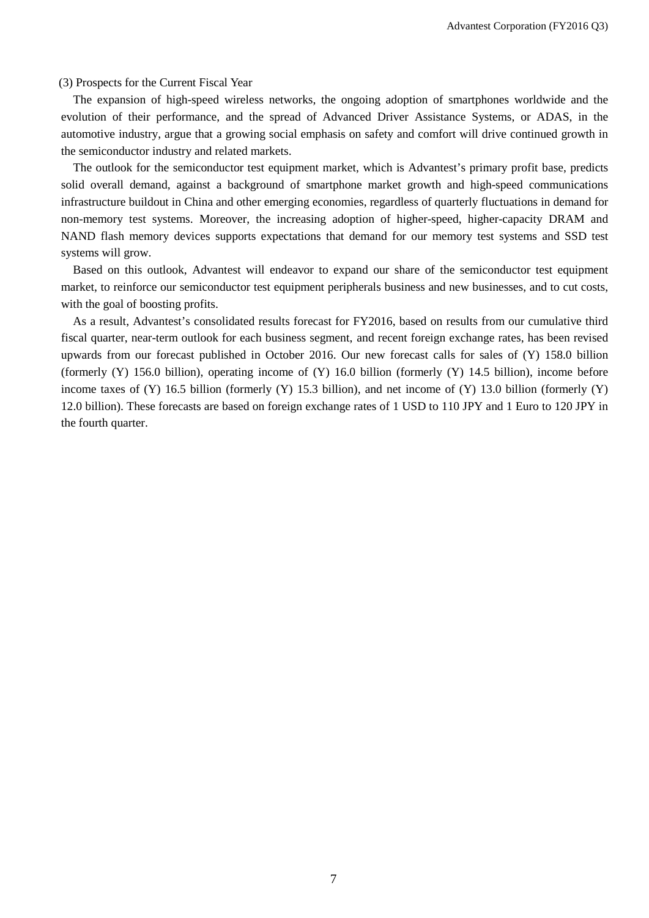(3) Prospects for the Current Fiscal Year

The expansion of high-speed wireless networks, the ongoing adoption of smartphones worldwide and the evolution of their performance, and the spread of Advanced Driver Assistance Systems, or ADAS, in the automotive industry, argue that a growing social emphasis on safety and comfort will drive continued growth in the semiconductor industry and related markets.

The outlook for the semiconductor test equipment market, which is Advantest's primary profit base, predicts solid overall demand, against a background of smartphone market growth and high-speed communications infrastructure buildout in China and other emerging economies, regardless of quarterly fluctuations in demand for non-memory test systems. Moreover, the increasing adoption of higher-speed, higher-capacity DRAM and NAND flash memory devices supports expectations that demand for our memory test systems and SSD test systems will grow.

Based on this outlook, Advantest will endeavor to expand our share of the semiconductor test equipment market, to reinforce our semiconductor test equipment peripherals business and new businesses, and to cut costs, with the goal of boosting profits.

As a result, Advantest's consolidated results forecast for FY2016, based on results from our cumulative third fiscal quarter, near-term outlook for each business segment, and recent foreign exchange rates, has been revised upwards from our forecast published in October 2016. Our new forecast calls for sales of (Y) 158.0 billion (formerly  $(Y)$  156.0 billion), operating income of  $(Y)$  16.0 billion (formerly  $(Y)$  14.5 billion), income before income taxes of  $(Y)$  16.5 billion (formerly  $(Y)$  15.3 billion), and net income of  $(Y)$  13.0 billion (formerly  $(Y)$ ) 12.0 billion). These forecasts are based on foreign exchange rates of 1 USD to 110 JPY and 1 Euro to 120 JPY in the fourth quarter.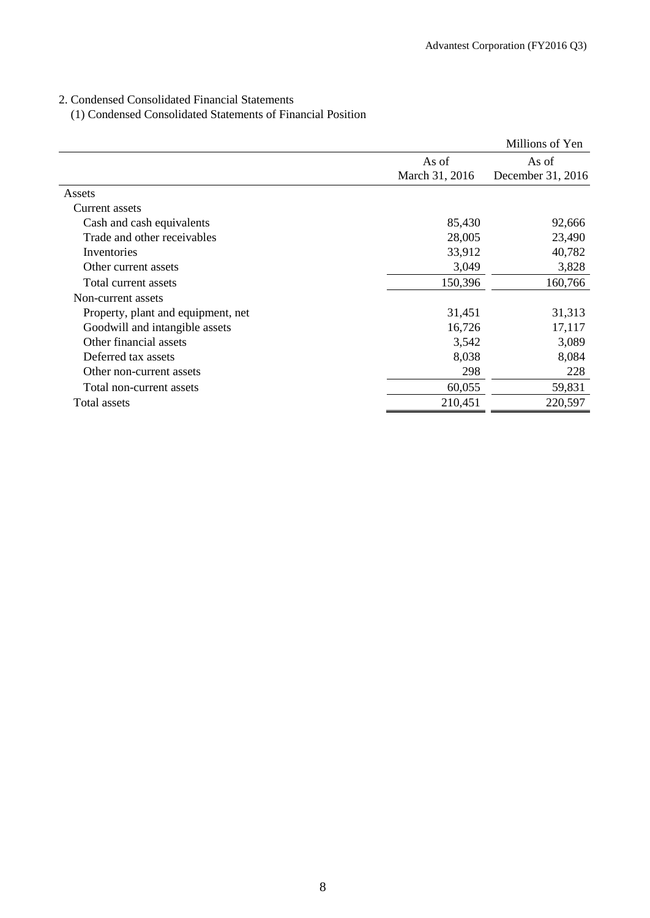## 2. Condensed Consolidated Financial Statements

(1) Condensed Consolidated Statements of Financial Position

|                                    |                | Millions of Yen   |
|------------------------------------|----------------|-------------------|
|                                    | As of          | As of             |
|                                    | March 31, 2016 | December 31, 2016 |
| Assets                             |                |                   |
| Current assets                     |                |                   |
| Cash and cash equivalents          | 85,430         | 92,666            |
| Trade and other receivables        | 28,005         | 23,490            |
| Inventories                        | 33,912         | 40,782            |
| Other current assets               | 3,049          | 3,828             |
| Total current assets               | 150,396        | 160,766           |
| Non-current assets                 |                |                   |
| Property, plant and equipment, net | 31,451         | 31,313            |
| Goodwill and intangible assets     | 16,726         | 17,117            |
| Other financial assets             | 3,542          | 3,089             |
| Deferred tax assets                | 8,038          | 8,084             |
| Other non-current assets           | 298            | 228               |
| Total non-current assets           | 60,055         | 59,831            |
| Total assets                       | 210,451        | 220,597           |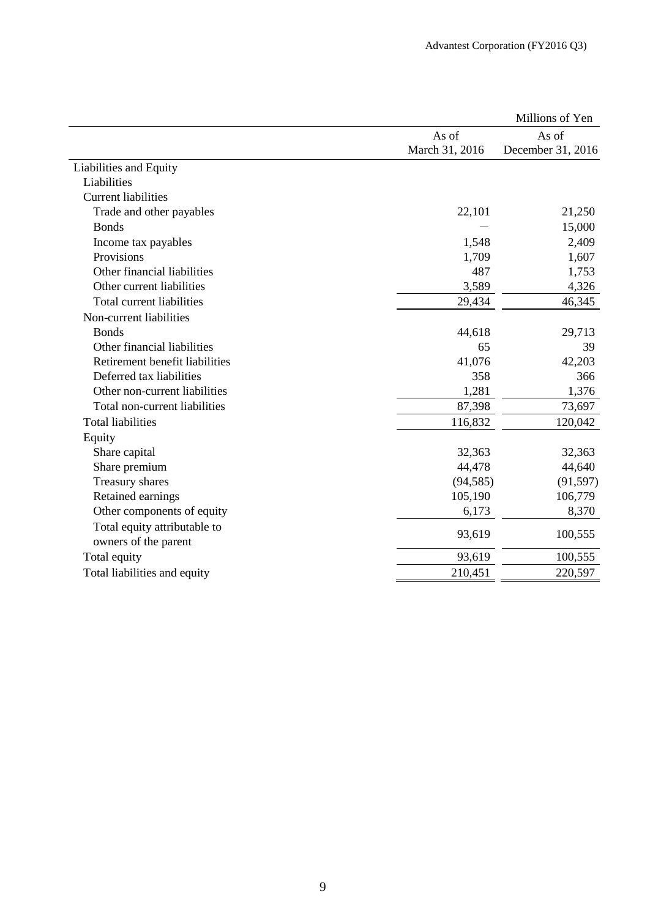|                                |                         | Millions of Yen            |
|--------------------------------|-------------------------|----------------------------|
|                                | As of<br>March 31, 2016 | As of<br>December 31, 2016 |
| Liabilities and Equity         |                         |                            |
| Liabilities                    |                         |                            |
| <b>Current liabilities</b>     |                         |                            |
| Trade and other payables       | 22,101                  | 21,250                     |
| <b>Bonds</b>                   |                         | 15,000                     |
| Income tax payables            | 1,548                   | 2,409                      |
| Provisions                     | 1,709                   | 1,607                      |
| Other financial liabilities    | 487                     | 1,753                      |
| Other current liabilities      | 3,589                   | 4,326                      |
| Total current liabilities      | 29,434                  | 46,345                     |
| Non-current liabilities        |                         |                            |
| <b>Bonds</b>                   | 44,618                  | 29,713                     |
| Other financial liabilities    | 65                      | 39                         |
| Retirement benefit liabilities | 41,076                  | 42,203                     |
| Deferred tax liabilities       | 358                     | 366                        |
| Other non-current liabilities  | 1,281                   | 1,376                      |
| Total non-current liabilities  | 87,398                  | 73,697                     |
| <b>Total liabilities</b>       | 116,832                 | 120,042                    |
| Equity                         |                         |                            |
| Share capital                  | 32,363                  | 32,363                     |
| Share premium                  | 44,478                  | 44,640                     |
| Treasury shares                | (94, 585)               | (91, 597)                  |
| Retained earnings              | 105,190                 | 106,779                    |
| Other components of equity     | 6,173                   | 8,370                      |
| Total equity attributable to   | 93,619                  |                            |
| owners of the parent           |                         | 100,555                    |
| Total equity                   | 93,619                  | 100,555                    |
| Total liabilities and equity   | 210,451                 | 220,597                    |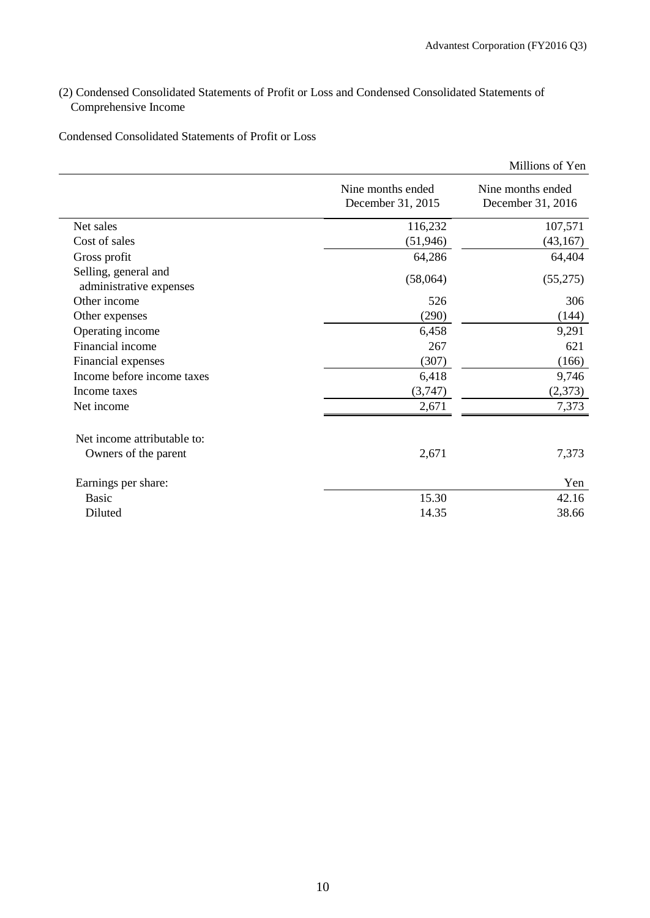## (2) Condensed Consolidated Statements of Profit or Loss and Condensed Consolidated Statements of Comprehensive Income

Condensed Consolidated Statements of Profit or Loss

|                                                 |                                        | Millions of Yen                        |
|-------------------------------------------------|----------------------------------------|----------------------------------------|
|                                                 | Nine months ended<br>December 31, 2015 | Nine months ended<br>December 31, 2016 |
| Net sales                                       | 116,232                                | 107,571                                |
| Cost of sales                                   | (51, 946)                              | (43, 167)                              |
| Gross profit                                    | 64,286                                 | 64,404                                 |
| Selling, general and<br>administrative expenses | (58,064)                               | (55,275)                               |
| Other income                                    | 526                                    | 306                                    |
| Other expenses                                  | (290)                                  | (144)                                  |
| Operating income                                | 6,458                                  | 9,291                                  |
| Financial income                                | 267                                    | 621                                    |
| Financial expenses                              | (307)                                  | (166)                                  |
| Income before income taxes                      | 6,418                                  | 9,746                                  |
| Income taxes                                    | (3,747)                                | (2,373)                                |
| Net income                                      | 2,671                                  | 7,373                                  |
| Net income attributable to:                     |                                        |                                        |
| Owners of the parent                            | 2,671                                  | 7,373                                  |
| Earnings per share:                             |                                        | Yen                                    |
| <b>Basic</b>                                    | 15.30                                  | 42.16                                  |
| Diluted                                         | 14.35                                  | 38.66                                  |
|                                                 |                                        |                                        |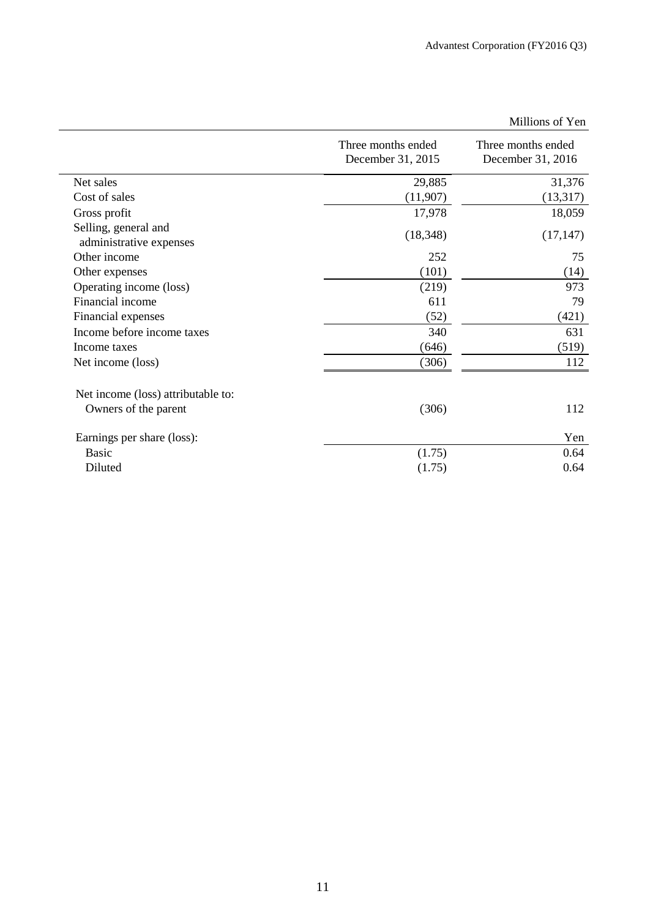|                                                 |                                         | Millions of Yen                         |
|-------------------------------------------------|-----------------------------------------|-----------------------------------------|
|                                                 | Three months ended<br>December 31, 2015 | Three months ended<br>December 31, 2016 |
| Net sales                                       | 29,885                                  | 31,376                                  |
| Cost of sales                                   | (11,907)                                | (13,317)                                |
| Gross profit                                    | 17,978                                  | 18,059                                  |
| Selling, general and<br>administrative expenses | (18, 348)                               | (17, 147)                               |
| Other income                                    | 252                                     | 75                                      |
| Other expenses                                  | (101)                                   | (14)                                    |
| Operating income (loss)                         | (219)                                   | 973                                     |
| Financial income                                | 611                                     | 79                                      |
| Financial expenses                              | (52)                                    | (421)                                   |
| Income before income taxes                      | 340                                     | 631                                     |
| Income taxes                                    | (646)                                   | (519)                                   |
| Net income (loss)                               | (306)                                   | 112                                     |
| Net income (loss) attributable to:              |                                         |                                         |
| Owners of the parent                            | (306)                                   | 112                                     |
| Earnings per share (loss):                      |                                         | Yen                                     |
| Basic                                           | (1.75)                                  | 0.64                                    |
| Diluted                                         | (1.75)                                  | 0.64                                    |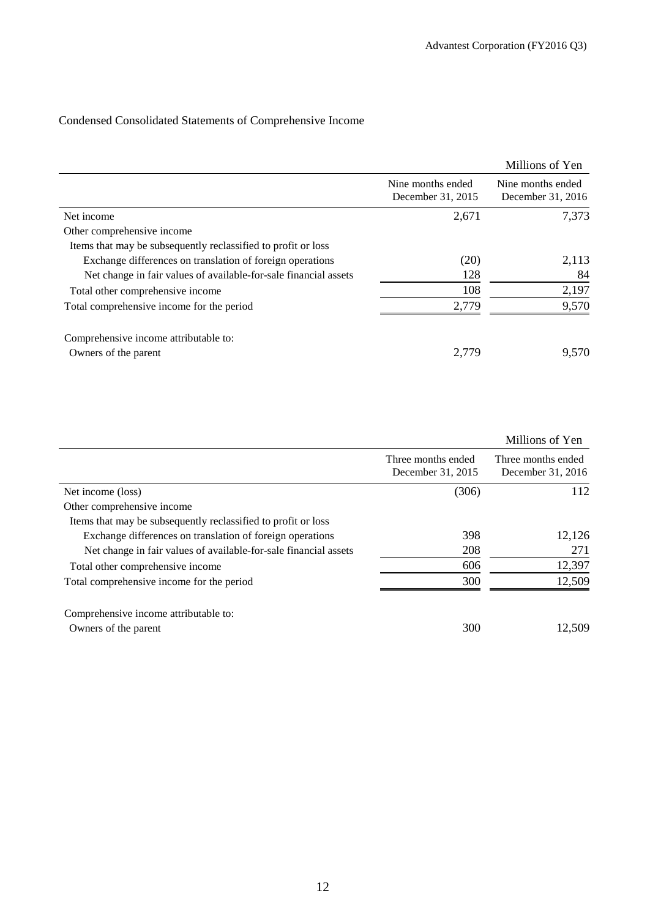# Condensed Consolidated Statements of Comprehensive Income

|                                                                  |                                        | Millions of Yen                        |
|------------------------------------------------------------------|----------------------------------------|----------------------------------------|
|                                                                  | Nine months ended<br>December 31, 2015 | Nine months ended<br>December 31, 2016 |
| Net income                                                       | 2,671                                  | 7,373                                  |
| Other comprehensive income                                       |                                        |                                        |
| Items that may be subsequently reclassified to profit or loss    |                                        |                                        |
| Exchange differences on translation of foreign operations        | (20)                                   | 2,113                                  |
| Net change in fair values of available-for-sale financial assets | 128                                    | 84                                     |
| Total other comprehensive income                                 | 108                                    | 2,197                                  |
| Total comprehensive income for the period                        | 2,779                                  | 9,570                                  |
| Comprehensive income attributable to:                            |                                        |                                        |
| Owners of the parent                                             | 2,779                                  | 9,570                                  |

|                                                                  |                    | Millions of Yen    |
|------------------------------------------------------------------|--------------------|--------------------|
|                                                                  | Three months ended | Three months ended |
|                                                                  | December 31, 2015  | December 31, 2016  |
| Net income (loss)                                                | (306)              | 112                |
| Other comprehensive income                                       |                    |                    |
| Items that may be subsequently reclassified to profit or loss    |                    |                    |
| Exchange differences on translation of foreign operations        | 398                | 12,126             |
| Net change in fair values of available-for-sale financial assets | 208                | 271                |
| Total other comprehensive income                                 | 606                | 12,397             |
| Total comprehensive income for the period                        | 300                | 12,509             |
| Comprehensive income attributable to:                            |                    |                    |
| Owners of the parent                                             | 300                | 12,509             |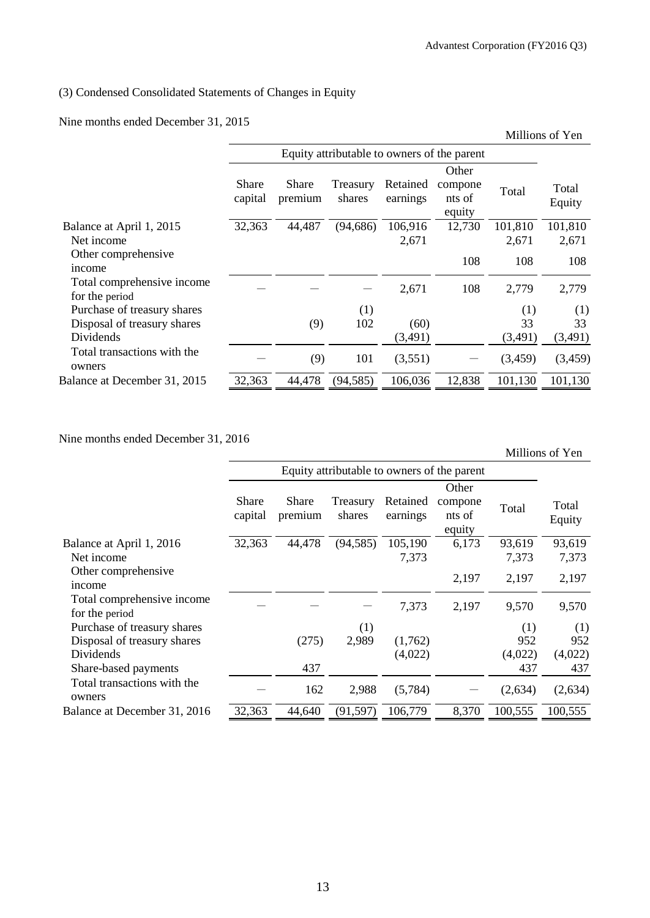# (3) Condensed Consolidated Statements of Changes in Equity

Nine months ended December 31, 2015

|                                                                         |                                             |                         |                    |                      |                                      | Millions of Yen      |                      |
|-------------------------------------------------------------------------|---------------------------------------------|-------------------------|--------------------|----------------------|--------------------------------------|----------------------|----------------------|
|                                                                         | Equity attributable to owners of the parent |                         |                    |                      |                                      |                      |                      |
|                                                                         | <b>Share</b><br>capital                     | <b>Share</b><br>premium | Treasury<br>shares | Retained<br>earnings | Other<br>compone<br>nts of<br>equity | Total                | Total<br>Equity      |
| Balance at April 1, 2015<br>Net income                                  | 32,363                                      | 44,487                  | (94, 686)          | 106,916<br>2,671     | 12,730                               | 101,810<br>2,671     | 101,810<br>2,671     |
| Other comprehensive<br>income                                           |                                             |                         |                    |                      | 108                                  | 108                  | 108                  |
| Total comprehensive income<br>for the period                            |                                             |                         |                    | 2,671                | 108                                  | 2,779                | 2,779                |
| Purchase of treasury shares<br>Disposal of treasury shares<br>Dividends |                                             | (9)                     | (1)<br>102         | (60)<br>(3,491)      |                                      | (1)<br>33<br>(3,491) | (1)<br>33<br>(3,491) |
| Total transactions with the<br>owners                                   |                                             | (9)                     | 101                | (3,551)              |                                      | (3,459)              | (3,459)              |
| Balance at December 31, 2015                                            | 32,363                                      | 44,478                  | (94, 585)          | 106,036              | 12,838                               | 101,130              | 101,130              |

Nine months ended December 31, 2016

|                                              |                                             |                  |                    |                      |                                      |                | Millions of Yen |
|----------------------------------------------|---------------------------------------------|------------------|--------------------|----------------------|--------------------------------------|----------------|-----------------|
|                                              | Equity attributable to owners of the parent |                  |                    |                      |                                      |                |                 |
|                                              | Share<br>capital                            | Share<br>premium | Treasury<br>shares | Retained<br>earnings | Other<br>compone<br>nts of<br>equity | Total          | Total<br>Equity |
| Balance at April 1, 2016                     | 32,363                                      | 44,478           | (94, 585)          | 105,190              | 6,173                                | 93,619         | 93,619          |
| Net income<br>Other comprehensive<br>income  |                                             |                  |                    | 7,373                | 2,197                                | 7,373<br>2,197 | 7,373<br>2,197  |
| Total comprehensive income<br>for the period |                                             |                  |                    | 7,373                | 2,197                                | 9,570          | 9,570           |
| Purchase of treasury shares                  |                                             |                  | (1)                |                      |                                      | (1)            | (1)             |
| Disposal of treasury shares<br>Dividends     |                                             | (275)            | 2,989              | (1,762)<br>(4,022)   |                                      | 952<br>(4,022) | 952<br>(4,022)  |
| Share-based payments                         |                                             | 437              |                    |                      |                                      | 437            | 437             |
| Total transactions with the<br>owners        |                                             | 162              | 2,988              | (5,784)              |                                      | (2,634)        | (2,634)         |
| Balance at December 31, 2016                 | 32,363                                      | 44,640           | (91, 597)          | 106,779              | 8,370                                | 100,555        | 100,555         |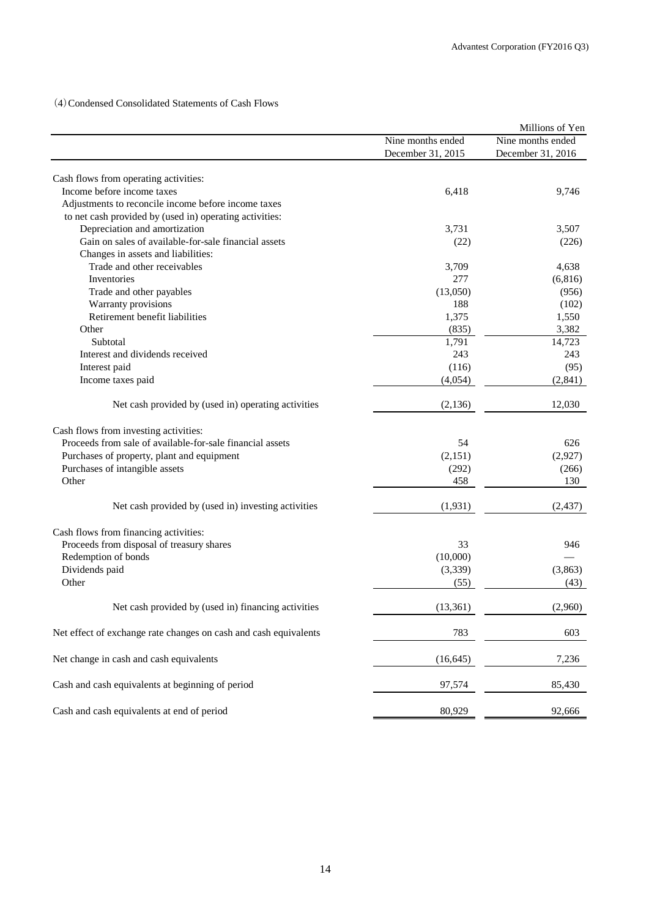(4)Condensed Consolidated Statements of Cash Flows

|                                                                  |                   | Millions of Yen   |
|------------------------------------------------------------------|-------------------|-------------------|
|                                                                  | Nine months ended | Nine months ended |
|                                                                  | December 31, 2015 | December 31, 2016 |
|                                                                  |                   |                   |
| Cash flows from operating activities:                            |                   |                   |
| Income before income taxes                                       | 6,418             | 9,746             |
| Adjustments to reconcile income before income taxes              |                   |                   |
| to net cash provided by (used in) operating activities:          |                   |                   |
| Depreciation and amortization                                    | 3,731             | 3,507             |
| Gain on sales of available-for-sale financial assets             | (22)              | (226)             |
| Changes in assets and liabilities:                               |                   |                   |
| Trade and other receivables                                      | 3,709             | 4,638             |
| Inventories                                                      | 277               | (6,816)           |
| Trade and other payables                                         | (13,050)          | (956)             |
| Warranty provisions                                              | 188               | (102)             |
| Retirement benefit liabilities                                   | 1,375             | 1,550             |
| Other                                                            | (835)             | 3,382             |
| Subtotal                                                         | 1,791             | 14,723            |
| Interest and dividends received                                  | 243               | 243               |
| Interest paid                                                    | (116)             | (95)              |
| Income taxes paid                                                | (4,054)           | (2, 841)          |
| Net cash provided by (used in) operating activities              | (2,136)           | 12,030            |
| Cash flows from investing activities:                            |                   |                   |
| Proceeds from sale of available-for-sale financial assets        | 54                | 626               |
| Purchases of property, plant and equipment                       | (2,151)           | (2,927)           |
| Purchases of intangible assets                                   | (292)             | (266)             |
| Other                                                            | 458               | 130               |
| Net cash provided by (used in) investing activities              | (1,931)           | (2, 437)          |
| Cash flows from financing activities:                            |                   |                   |
| Proceeds from disposal of treasury shares                        | 33                | 946               |
| Redemption of bonds                                              | (10,000)          |                   |
| Dividends paid                                                   | (3,339)           | (3,863)           |
| Other                                                            | (55)              | (43)              |
|                                                                  |                   |                   |
| Net cash provided by (used in) financing activities              | (13, 361)         | (2,960)           |
| Net effect of exchange rate changes on cash and cash equivalents | 783               | 603               |
| Net change in cash and cash equivalents                          | (16, 645)         | 7,236             |
| Cash and cash equivalents at beginning of period                 | 97,574            | 85,430            |
| Cash and cash equivalents at end of period                       | 80,929            | 92,666            |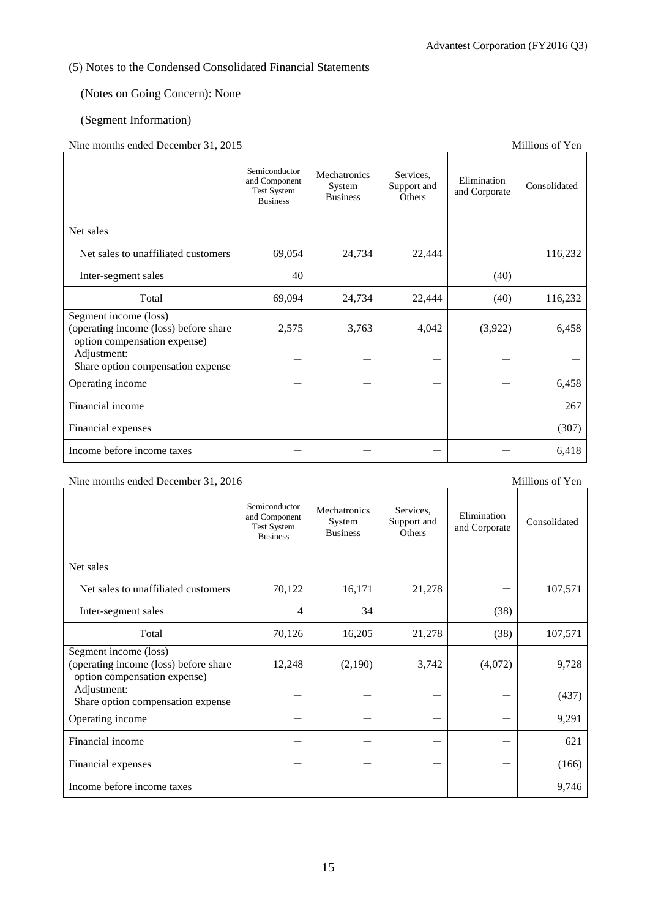## (5) Notes to the Condensed Consolidated Financial Statements

## (Notes on Going Concern): None

## (Segment Information)

## Nine months ended December 31, 2015

| This momms churu December 91, 2019                                                             |                                                                         |                                           |                                    |                              | <b>MININUMO OL T CH</b> |
|------------------------------------------------------------------------------------------------|-------------------------------------------------------------------------|-------------------------------------------|------------------------------------|------------------------------|-------------------------|
|                                                                                                | Semiconductor<br>and Component<br><b>Test System</b><br><b>Business</b> | Mechatronics<br>System<br><b>Business</b> | Services.<br>Support and<br>Others | Elimination<br>and Corporate | Consolidated            |
| Net sales                                                                                      |                                                                         |                                           |                                    |                              |                         |
| Net sales to unaffiliated customers                                                            | 69,054                                                                  | 24,734                                    | 22,444                             |                              | 116,232                 |
| Inter-segment sales                                                                            | 40                                                                      |                                           |                                    | (40)                         |                         |
| Total                                                                                          | 69,094                                                                  | 24,734                                    | 22,444                             | (40)                         | 116,232                 |
| Segment income (loss)<br>(operating income (loss) before share<br>option compensation expense) | 2,575                                                                   | 3,763                                     | 4,042                              | (3,922)                      | 6,458                   |
| Adjustment:<br>Share option compensation expense                                               |                                                                         |                                           |                                    |                              |                         |
| Operating income                                                                               |                                                                         |                                           |                                    |                              | 6,458                   |
| Financial income                                                                               |                                                                         |                                           |                                    |                              | 267                     |
| Financial expenses                                                                             |                                                                         |                                           |                                    |                              | (307)                   |
| Income before income taxes                                                                     |                                                                         |                                           |                                    |                              | 6,418                   |

## Nine months ended December 31, 2016 Millions of Yen

|                                                                                                | Semiconductor<br>and Component<br><b>Test System</b><br><b>Business</b> | Mechatronics<br>System<br><b>Business</b> | Services.<br>Support and<br><b>Others</b> | Elimination<br>and Corporate | Consolidated |
|------------------------------------------------------------------------------------------------|-------------------------------------------------------------------------|-------------------------------------------|-------------------------------------------|------------------------------|--------------|
| Net sales                                                                                      |                                                                         |                                           |                                           |                              |              |
| Net sales to unaffiliated customers                                                            | 70,122                                                                  | 16,171                                    | 21,278                                    |                              | 107,571      |
| Inter-segment sales                                                                            | 4                                                                       | 34                                        |                                           | (38)                         |              |
| Total                                                                                          | 70,126                                                                  | 16,205                                    | 21,278                                    | (38)                         | 107,571      |
| Segment income (loss)<br>(operating income (loss) before share<br>option compensation expense) | 12,248                                                                  | (2,190)                                   | 3,742                                     | (4,072)                      | 9,728        |
| Adjustment:<br>Share option compensation expense                                               |                                                                         |                                           |                                           |                              | (437)        |
| Operating income                                                                               |                                                                         |                                           |                                           |                              | 9,291        |
| Financial income                                                                               |                                                                         |                                           |                                           |                              | 621          |
| Financial expenses                                                                             |                                                                         |                                           |                                           |                              | (166)        |
| Income before income taxes                                                                     |                                                                         |                                           |                                           |                              | 9,746        |